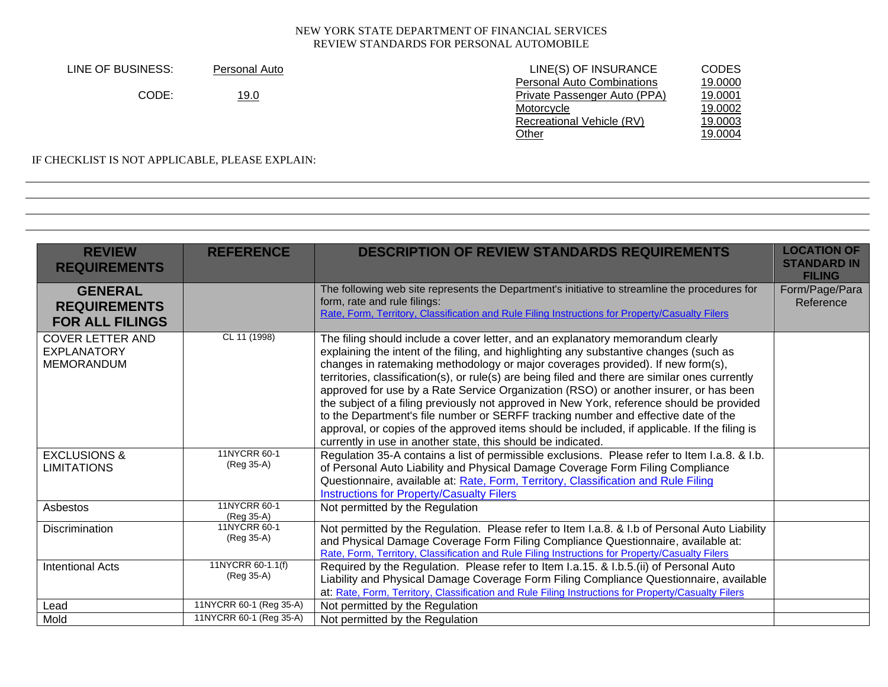| LINE OF BUSINESS: | Personal Auto | LINE(S) OF INSURANCE              | CODES   |
|-------------------|---------------|-----------------------------------|---------|
|                   |               | <b>Personal Auto Combinations</b> | 19,0000 |
| CODE:             | <u> 19.0</u>  | Private Passenger Auto (PPA)      | 19.0001 |
|                   |               | Motorcycle                        | 19.0002 |
|                   |               | Recreational Vehicle (RV)         | 19.0003 |
|                   |               | <u>Other</u>                      | 19.0004 |
|                   |               |                                   |         |

# IF CHECKLIST IS NOT APPLICABLE, PLEASE EXPLAIN:

| <b>REVIEW</b><br><b>REQUIREMENTS</b>                               | <b>REFERENCE</b>                | <b>DESCRIPTION OF REVIEW STANDARDS REQUIREMENTS</b>                                                                                                                                                                                                                                                                                                                                                                                                                                                                                                                                                                                                                                                                                                                                                          | <b>LOCATION OF</b><br><b>STANDARD IN</b><br><b>FILING</b> |
|--------------------------------------------------------------------|---------------------------------|--------------------------------------------------------------------------------------------------------------------------------------------------------------------------------------------------------------------------------------------------------------------------------------------------------------------------------------------------------------------------------------------------------------------------------------------------------------------------------------------------------------------------------------------------------------------------------------------------------------------------------------------------------------------------------------------------------------------------------------------------------------------------------------------------------------|-----------------------------------------------------------|
| <b>GENERAL</b><br><b>REQUIREMENTS</b><br><b>FOR ALL FILINGS</b>    |                                 | The following web site represents the Department's initiative to streamline the procedures for<br>form, rate and rule filings:<br>Rate, Form, Territory, Classification and Rule Filing Instructions for Property/Casualty Filers                                                                                                                                                                                                                                                                                                                                                                                                                                                                                                                                                                            | Form/Page/Para<br>Reference                               |
| <b>COVER LETTER AND</b><br><b>EXPLANATORY</b><br><b>MEMORANDUM</b> | CL 11 (1998)                    | The filing should include a cover letter, and an explanatory memorandum clearly<br>explaining the intent of the filing, and highlighting any substantive changes (such as<br>changes in ratemaking methodology or major coverages provided). If new form(s),<br>territories, classification(s), or rule(s) are being filed and there are similar ones currently<br>approved for use by a Rate Service Organization (RSO) or another insurer, or has been<br>the subject of a filing previously not approved in New York, reference should be provided<br>to the Department's file number or SERFF tracking number and effective date of the<br>approval, or copies of the approved items should be included, if applicable. If the filing is<br>currently in use in another state, this should be indicated. |                                                           |
| <b>EXCLUSIONS &amp;</b><br><b>LIMITATIONS</b>                      | 11NYCRR 60-1<br>(Reg 35-A)      | Regulation 35-A contains a list of permissible exclusions. Please refer to Item I.a.8. & I.b.<br>of Personal Auto Liability and Physical Damage Coverage Form Filing Compliance<br>Questionnaire, available at: Rate, Form, Territory, Classification and Rule Filing<br><b>Instructions for Property/Casualty Filers</b>                                                                                                                                                                                                                                                                                                                                                                                                                                                                                    |                                                           |
| Asbestos                                                           | 11NYCRR 60-1<br>(Reg 35-A)      | Not permitted by the Regulation                                                                                                                                                                                                                                                                                                                                                                                                                                                                                                                                                                                                                                                                                                                                                                              |                                                           |
| Discrimination                                                     | 11NYCRR 60-1<br>(Reg 35-A)      | Not permitted by the Regulation. Please refer to Item I.a.8. & I.b of Personal Auto Liability<br>and Physical Damage Coverage Form Filing Compliance Questionnaire, available at:<br>Rate, Form, Territory, Classification and Rule Filing Instructions for Property/Casualty Filers                                                                                                                                                                                                                                                                                                                                                                                                                                                                                                                         |                                                           |
| <b>Intentional Acts</b>                                            | 11NYCRR 60-1.1(f)<br>(Reg 35-A) | Required by the Regulation. Please refer to Item I.a.15. & I.b.5.(ii) of Personal Auto<br>Liability and Physical Damage Coverage Form Filing Compliance Questionnaire, available<br>at: Rate, Form, Territory, Classification and Rule Filing Instructions for Property/Casualty Filers                                                                                                                                                                                                                                                                                                                                                                                                                                                                                                                      |                                                           |
| Lead                                                               | 11NYCRR 60-1 (Reg 35-A)         | Not permitted by the Regulation                                                                                                                                                                                                                                                                                                                                                                                                                                                                                                                                                                                                                                                                                                                                                                              |                                                           |
| Mold                                                               | 11NYCRR 60-1 (Reg 35-A)         | Not permitted by the Regulation                                                                                                                                                                                                                                                                                                                                                                                                                                                                                                                                                                                                                                                                                                                                                                              |                                                           |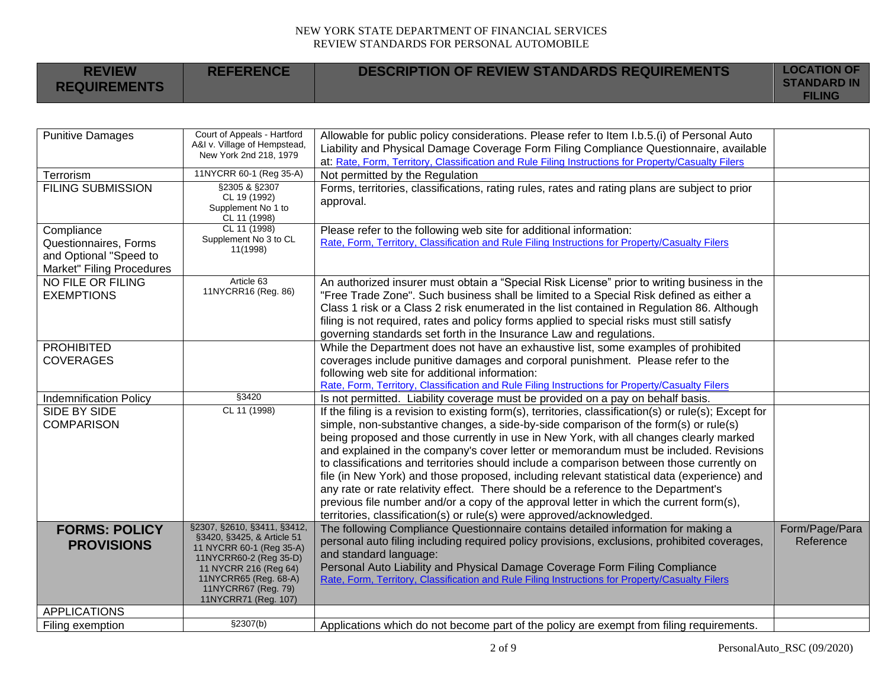| <b>REVIEW</b><br><b>REQUIREMENTS</b>                                         | <b>REFERENCE</b>                                            | <b>DESCRIPTION OF REVIEW STANDARDS REQUIREMENTS</b>                                                                                                                                | <b>LOCATION OF</b><br><b>STANDARD IN</b> |
|------------------------------------------------------------------------------|-------------------------------------------------------------|------------------------------------------------------------------------------------------------------------------------------------------------------------------------------------|------------------------------------------|
|                                                                              |                                                             |                                                                                                                                                                                    | <b>FILING</b>                            |
|                                                                              |                                                             |                                                                                                                                                                                    |                                          |
| <b>Punitive Damages</b>                                                      | Court of Appeals - Hartford<br>A&I v. Village of Hempstead, | Allowable for public policy considerations. Please refer to Item I.b.5.(i) of Personal Auto                                                                                        |                                          |
|                                                                              | New York 2nd 218, 1979                                      | Liability and Physical Damage Coverage Form Filing Compliance Questionnaire, available                                                                                             |                                          |
|                                                                              | 11NYCRR 60-1 (Reg 35-A)                                     | at: Rate, Form, Territory, Classification and Rule Filing Instructions for Property/Casualty Filers                                                                                |                                          |
| Terrorism                                                                    | §2305 & §2307                                               | Not permitted by the Regulation                                                                                                                                                    |                                          |
| <b>FILING SUBMISSION</b>                                                     | CL 19 (1992)<br>Supplement No 1 to<br>CL 11 (1998)          | Forms, territories, classifications, rating rules, rates and rating plans are subject to prior<br>approval.                                                                        |                                          |
| Compliance                                                                   | CL 11 (1998)                                                | Please refer to the following web site for additional information:                                                                                                                 |                                          |
| Questionnaires, Forms<br>and Optional "Speed to<br>Market" Filing Procedures | Supplement No 3 to CL<br>11(1998)                           | Rate, Form, Territory, Classification and Rule Filing Instructions for Property/Casualty Filers                                                                                    |                                          |
| NO FILE OR FILING                                                            | Article 63                                                  | An authorized insurer must obtain a "Special Risk License" prior to writing business in the                                                                                        |                                          |
| <b>EXEMPTIONS</b>                                                            | 11NYCRR16 (Reg. 86)                                         | "Free Trade Zone". Such business shall be limited to a Special Risk defined as either a                                                                                            |                                          |
|                                                                              |                                                             | Class 1 risk or a Class 2 risk enumerated in the list contained in Regulation 86. Although                                                                                         |                                          |
|                                                                              |                                                             | filing is not required, rates and policy forms applied to special risks must still satisfy<br>governing standards set forth in the Insurance Law and regulations.                  |                                          |
| <b>PROHIBITED</b>                                                            |                                                             | While the Department does not have an exhaustive list, some examples of prohibited                                                                                                 |                                          |
| <b>COVERAGES</b>                                                             |                                                             | coverages include punitive damages and corporal punishment. Please refer to the                                                                                                    |                                          |
|                                                                              |                                                             | following web site for additional information:                                                                                                                                     |                                          |
|                                                                              |                                                             | Rate, Form, Territory, Classification and Rule Filing Instructions for Property/Casualty Filers                                                                                    |                                          |
| <b>Indemnification Policy</b>                                                | §3420                                                       | Is not permitted. Liability coverage must be provided on a pay on behalf basis.                                                                                                    |                                          |
| <b>SIDE BY SIDE</b>                                                          | CL 11 (1998)                                                | If the filing is a revision to existing form(s), territories, classification(s) or rule(s); Except for                                                                             |                                          |
| <b>COMPARISON</b>                                                            |                                                             | simple, non-substantive changes, a side-by-side comparison of the form(s) or rule(s)                                                                                               |                                          |
|                                                                              |                                                             | being proposed and those currently in use in New York, with all changes clearly marked                                                                                             |                                          |
|                                                                              |                                                             | and explained in the company's cover letter or memorandum must be included. Revisions                                                                                              |                                          |
|                                                                              |                                                             | to classifications and territories should include a comparison between those currently on                                                                                          |                                          |
|                                                                              |                                                             | file (in New York) and those proposed, including relevant statistical data (experience) and<br>any rate or rate relativity effect. There should be a reference to the Department's |                                          |
|                                                                              |                                                             | previous file number and/or a copy of the approval letter in which the current form(s),                                                                                            |                                          |
|                                                                              |                                                             | territories, classification(s) or rule(s) were approved/acknowledged.                                                                                                              |                                          |
| <b>FORMS: POLICY</b>                                                         | §2307, §2610, §3411, §3412,                                 | The following Compliance Questionnaire contains detailed information for making a                                                                                                  | Form/Page/Para                           |
| <b>PROVISIONS</b>                                                            | §3420, §3425, & Article 51<br>11 NYCRR 60-1 (Reg 35-A)      | personal auto filing including required policy provisions, exclusions, prohibited coverages,                                                                                       | Reference                                |
|                                                                              | 11NYCRR60-2 (Reg 35-D)                                      | and standard language:                                                                                                                                                             |                                          |
|                                                                              | 11 NYCRR 216 (Reg 64)                                       | Personal Auto Liability and Physical Damage Coverage Form Filing Compliance                                                                                                        |                                          |
|                                                                              | 11NYCRR65 (Reg. 68-A)<br>11NYCRR67 (Reg. 79)                | Rate, Form, Territory, Classification and Rule Filing Instructions for Property/Casualty Filers                                                                                    |                                          |
|                                                                              | 11NYCRR71 (Reg. 107)                                        |                                                                                                                                                                                    |                                          |
| <b>APPLICATIONS</b>                                                          |                                                             |                                                                                                                                                                                    |                                          |
| Filing exemption                                                             | \$2307(b)                                                   | Applications which do not become part of the policy are exempt from filing requirements.                                                                                           |                                          |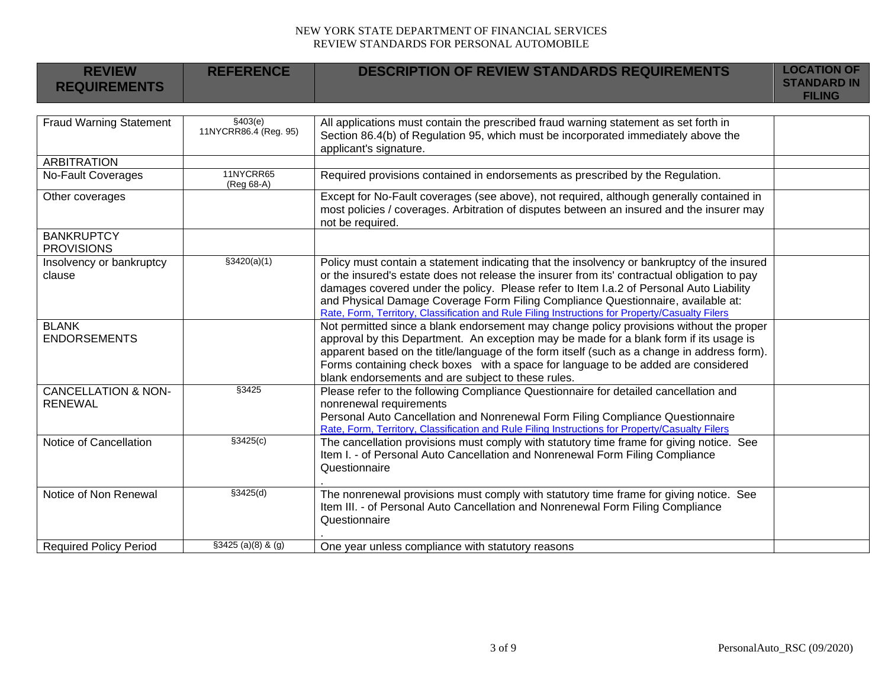| <b>REVIEW</b><br><b>REQUIREMENTS</b>             | <b>REFERENCE</b>                  | <b>DESCRIPTION OF REVIEW STANDARDS REQUIREMENTS</b>                                                                                                                                                                                                                                                                                                                                                                                                                           | <b>LOCATION OF</b><br><b>STANDARD IN</b><br><b>FILING</b> |
|--------------------------------------------------|-----------------------------------|-------------------------------------------------------------------------------------------------------------------------------------------------------------------------------------------------------------------------------------------------------------------------------------------------------------------------------------------------------------------------------------------------------------------------------------------------------------------------------|-----------------------------------------------------------|
|                                                  |                                   |                                                                                                                                                                                                                                                                                                                                                                                                                                                                               |                                                           |
| <b>Fraud Warning Statement</b>                   | \$403(e)<br>11NYCRR86.4 (Reg. 95) | All applications must contain the prescribed fraud warning statement as set forth in<br>Section 86.4(b) of Regulation 95, which must be incorporated immediately above the<br>applicant's signature.                                                                                                                                                                                                                                                                          |                                                           |
| <b>ARBITRATION</b>                               |                                   |                                                                                                                                                                                                                                                                                                                                                                                                                                                                               |                                                           |
| <b>No-Fault Coverages</b>                        | 11NYCRR65<br>(Reg 68-A)           | Required provisions contained in endorsements as prescribed by the Regulation.                                                                                                                                                                                                                                                                                                                                                                                                |                                                           |
| Other coverages                                  |                                   | Except for No-Fault coverages (see above), not required, although generally contained in<br>most policies / coverages. Arbitration of disputes between an insured and the insurer may<br>not be required.                                                                                                                                                                                                                                                                     |                                                           |
| <b>BANKRUPTCY</b><br><b>PROVISIONS</b>           |                                   |                                                                                                                                                                                                                                                                                                                                                                                                                                                                               |                                                           |
| Insolvency or bankruptcy<br>clause               | \$3420(a)(1)                      | Policy must contain a statement indicating that the insolvency or bankruptcy of the insured<br>or the insured's estate does not release the insurer from its' contractual obligation to pay<br>damages covered under the policy. Please refer to Item I.a.2 of Personal Auto Liability<br>and Physical Damage Coverage Form Filing Compliance Questionnaire, available at:<br>Rate, Form, Territory, Classification and Rule Filing Instructions for Property/Casualty Filers |                                                           |
| <b>BLANK</b><br><b>ENDORSEMENTS</b>              |                                   | Not permitted since a blank endorsement may change policy provisions without the proper<br>approval by this Department. An exception may be made for a blank form if its usage is<br>apparent based on the title/language of the form itself (such as a change in address form).<br>Forms containing check boxes with a space for language to be added are considered<br>blank endorsements and are subject to these rules.                                                   |                                                           |
| <b>CANCELLATION &amp; NON-</b><br><b>RENEWAL</b> | §3425                             | Please refer to the following Compliance Questionnaire for detailed cancellation and<br>nonrenewal requirements<br>Personal Auto Cancellation and Nonrenewal Form Filing Compliance Questionnaire<br>Rate, Form, Territory, Classification and Rule Filing Instructions for Property/Casualty Filers                                                                                                                                                                          |                                                           |
| Notice of Cancellation                           | \$3425(c)                         | The cancellation provisions must comply with statutory time frame for giving notice. See<br>Item I. - of Personal Auto Cancellation and Nonrenewal Form Filing Compliance<br>Questionnaire                                                                                                                                                                                                                                                                                    |                                                           |
| Notice of Non Renewal                            | \$3425(d)                         | The nonrenewal provisions must comply with statutory time frame for giving notice. See<br>Item III. - of Personal Auto Cancellation and Nonrenewal Form Filing Compliance<br>Questionnaire                                                                                                                                                                                                                                                                                    |                                                           |
| <b>Required Policy Period</b>                    | $$3425 (a)(8)$ & (g)              | One year unless compliance with statutory reasons                                                                                                                                                                                                                                                                                                                                                                                                                             |                                                           |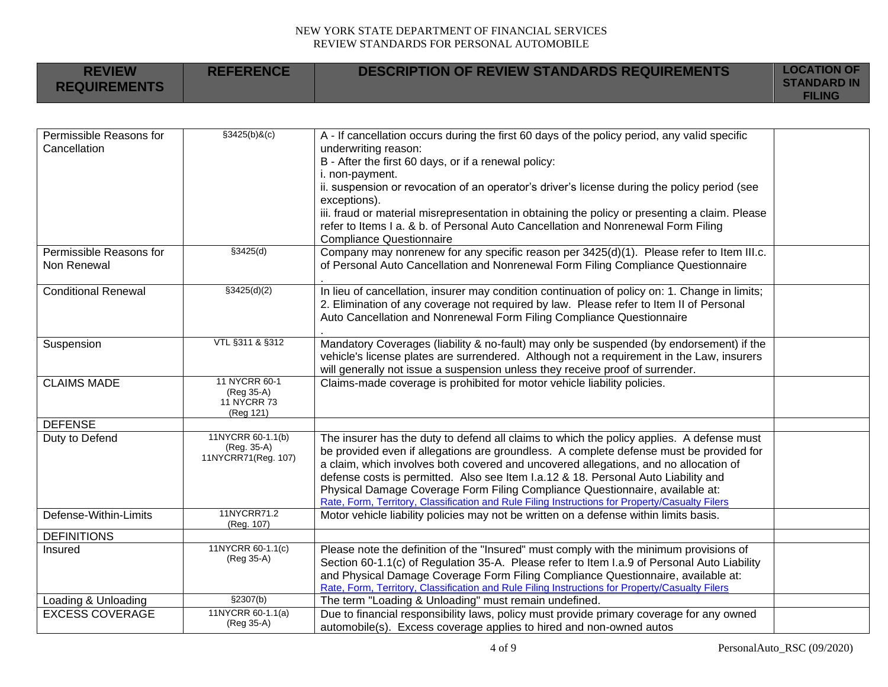| <b>REVIEW</b><br><b>REQUIREMENTS</b>    | <b>REFERENCE</b>                                        | <b>DESCRIPTION OF REVIEW STANDARDS REQUIREMENTS</b>                                                                                                                                                                                                                                                                                                                                                                                                                                                                                                   | <b>LOCATION OF</b><br><b>STANDARD IN</b><br><b>FILING</b> |
|-----------------------------------------|---------------------------------------------------------|-------------------------------------------------------------------------------------------------------------------------------------------------------------------------------------------------------------------------------------------------------------------------------------------------------------------------------------------------------------------------------------------------------------------------------------------------------------------------------------------------------------------------------------------------------|-----------------------------------------------------------|
|                                         |                                                         |                                                                                                                                                                                                                                                                                                                                                                                                                                                                                                                                                       |                                                           |
| Permissible Reasons for<br>Cancellation | $$3425(b)$ &(c)                                         | A - If cancellation occurs during the first 60 days of the policy period, any valid specific<br>underwriting reason:<br>B - After the first 60 days, or if a renewal policy:<br>i. non-payment.<br>ii. suspension or revocation of an operator's driver's license during the policy period (see<br>exceptions).<br>iii. fraud or material misrepresentation in obtaining the policy or presenting a claim. Please<br>refer to Items I a. & b. of Personal Auto Cancellation and Nonrenewal Form Filing<br><b>Compliance Questionnaire</b>             |                                                           |
| Permissible Reasons for<br>Non Renewal  | §3425(d)                                                | Company may nonrenew for any specific reason per 3425(d)(1). Please refer to Item III.c.<br>of Personal Auto Cancellation and Nonrenewal Form Filing Compliance Questionnaire                                                                                                                                                                                                                                                                                                                                                                         |                                                           |
| <b>Conditional Renewal</b>              | \$3425(d)(2)                                            | In lieu of cancellation, insurer may condition continuation of policy on: 1. Change in limits;<br>2. Elimination of any coverage not required by law. Please refer to Item II of Personal<br>Auto Cancellation and Nonrenewal Form Filing Compliance Questionnaire                                                                                                                                                                                                                                                                                    |                                                           |
| Suspension                              | VTL §311 & §312                                         | Mandatory Coverages (liability & no-fault) may only be suspended (by endorsement) if the<br>vehicle's license plates are surrendered. Although not a requirement in the Law, insurers<br>will generally not issue a suspension unless they receive proof of surrender.                                                                                                                                                                                                                                                                                |                                                           |
| <b>CLAIMS MADE</b>                      | 11 NYCRR 60-1<br>(Reg 35-A)<br>11 NYCRR 73<br>(Reg 121) | Claims-made coverage is prohibited for motor vehicle liability policies.                                                                                                                                                                                                                                                                                                                                                                                                                                                                              |                                                           |
| <b>DEFENSE</b>                          |                                                         |                                                                                                                                                                                                                                                                                                                                                                                                                                                                                                                                                       |                                                           |
| Duty to Defend                          | 11NYCRR 60-1.1(b)<br>(Reg. 35-A)<br>11NYCRR71(Reg. 107) | The insurer has the duty to defend all claims to which the policy applies. A defense must<br>be provided even if allegations are groundless. A complete defense must be provided for<br>a claim, which involves both covered and uncovered allegations, and no allocation of<br>defense costs is permitted. Also see Item I.a.12 & 18. Personal Auto Liability and<br>Physical Damage Coverage Form Filing Compliance Questionnaire, available at:<br>Rate, Form, Territory, Classification and Rule Filing Instructions for Property/Casualty Filers |                                                           |
| Defense-Within-Limits                   | 11NYCRR71.2<br>(Reg. 107)                               | Motor vehicle liability policies may not be written on a defense within limits basis.                                                                                                                                                                                                                                                                                                                                                                                                                                                                 |                                                           |
| <b>DEFINITIONS</b>                      |                                                         |                                                                                                                                                                                                                                                                                                                                                                                                                                                                                                                                                       |                                                           |
| Insured                                 | 11NYCRR 60-1.1(c)<br>(Reg 35-A)                         | Please note the definition of the "Insured" must comply with the minimum provisions of<br>Section 60-1.1(c) of Regulation 35-A. Please refer to Item I.a.9 of Personal Auto Liability<br>and Physical Damage Coverage Form Filing Compliance Questionnaire, available at:<br>Rate, Form, Territory, Classification and Rule Filing Instructions for Property/Casualty Filers                                                                                                                                                                          |                                                           |
| Loading & Unloading                     | \$2307(b)                                               | The term "Loading & Unloading" must remain undefined.                                                                                                                                                                                                                                                                                                                                                                                                                                                                                                 |                                                           |
| <b>EXCESS COVERAGE</b>                  | 11NYCRR 60-1.1(a)<br>(Reg 35-A)                         | Due to financial responsibility laws, policy must provide primary coverage for any owned<br>automobile(s). Excess coverage applies to hired and non-owned autos                                                                                                                                                                                                                                                                                                                                                                                       |                                                           |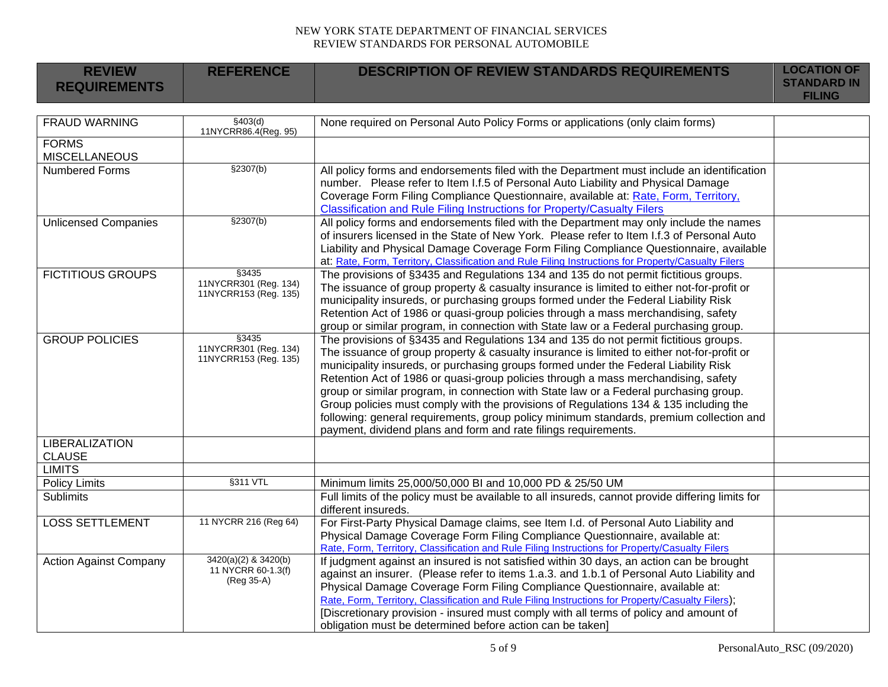| <b>REVIEW</b><br><b>REQUIREMENTS</b>   | <b>REFERENCE</b>                                         | <b>DESCRIPTION OF REVIEW STANDARDS REQUIREMENTS</b>                                                                                                                                                                                                                                                                                                                                                                                                                                                                                                                                                                                                                                                             | <b>LOCATION OF</b><br><b>STANDARD IN</b> |
|----------------------------------------|----------------------------------------------------------|-----------------------------------------------------------------------------------------------------------------------------------------------------------------------------------------------------------------------------------------------------------------------------------------------------------------------------------------------------------------------------------------------------------------------------------------------------------------------------------------------------------------------------------------------------------------------------------------------------------------------------------------------------------------------------------------------------------------|------------------------------------------|
|                                        |                                                          |                                                                                                                                                                                                                                                                                                                                                                                                                                                                                                                                                                                                                                                                                                                 | <b>FILING</b>                            |
|                                        |                                                          |                                                                                                                                                                                                                                                                                                                                                                                                                                                                                                                                                                                                                                                                                                                 |                                          |
| <b>FRAUD WARNING</b>                   | \$403(d)<br>11NYCRR86.4(Reg. 95)                         | None required on Personal Auto Policy Forms or applications (only claim forms)                                                                                                                                                                                                                                                                                                                                                                                                                                                                                                                                                                                                                                  |                                          |
| <b>FORMS</b><br><b>MISCELLANEOUS</b>   |                                                          |                                                                                                                                                                                                                                                                                                                                                                                                                                                                                                                                                                                                                                                                                                                 |                                          |
| Numbered Forms                         | \$2307(b)                                                | All policy forms and endorsements filed with the Department must include an identification<br>number. Please refer to Item I.f.5 of Personal Auto Liability and Physical Damage<br>Coverage Form Filing Compliance Questionnaire, available at: Rate, Form, Territory,<br><b>Classification and Rule Filing Instructions for Property/Casualty Filers</b>                                                                                                                                                                                                                                                                                                                                                       |                                          |
| <b>Unlicensed Companies</b>            | $\sqrt{(b)}$                                             | All policy forms and endorsements filed with the Department may only include the names<br>of insurers licensed in the State of New York. Please refer to Item I.f.3 of Personal Auto<br>Liability and Physical Damage Coverage Form Filing Compliance Questionnaire, available<br>at: Rate, Form, Territory, Classification and Rule Filing Instructions for Property/Casualty Filers                                                                                                                                                                                                                                                                                                                           |                                          |
| <b>FICTITIOUS GROUPS</b>               | §3435<br>11NYCRR301 (Reg. 134)<br>11NYCRR153 (Reg. 135)  | The provisions of §3435 and Regulations 134 and 135 do not permit fictitious groups.<br>The issuance of group property & casualty insurance is limited to either not-for-profit or<br>municipality insureds, or purchasing groups formed under the Federal Liability Risk<br>Retention Act of 1986 or quasi-group policies through a mass merchandising, safety<br>group or similar program, in connection with State law or a Federal purchasing group.                                                                                                                                                                                                                                                        |                                          |
| <b>GROUP POLICIES</b>                  | §3435<br>11NYCRR301 (Reg. 134)<br>11NYCRR153 (Reg. 135)  | The provisions of §3435 and Regulations 134 and 135 do not permit fictitious groups.<br>The issuance of group property & casualty insurance is limited to either not-for-profit or<br>municipality insureds, or purchasing groups formed under the Federal Liability Risk<br>Retention Act of 1986 or quasi-group policies through a mass merchandising, safety<br>group or similar program, in connection with State law or a Federal purchasing group.<br>Group policies must comply with the provisions of Regulations 134 & 135 including the<br>following: general requirements, group policy minimum standards, premium collection and<br>payment, dividend plans and form and rate filings requirements. |                                          |
| <b>LIBERALIZATION</b><br><b>CLAUSE</b> |                                                          |                                                                                                                                                                                                                                                                                                                                                                                                                                                                                                                                                                                                                                                                                                                 |                                          |
| <b>LIMITS</b>                          |                                                          |                                                                                                                                                                                                                                                                                                                                                                                                                                                                                                                                                                                                                                                                                                                 |                                          |
| <b>Policy Limits</b>                   | §311 VTL                                                 | Minimum limits 25,000/50,000 BI and 10,000 PD & 25/50 UM                                                                                                                                                                                                                                                                                                                                                                                                                                                                                                                                                                                                                                                        |                                          |
| <b>Sublimits</b>                       |                                                          | Full limits of the policy must be available to all insureds, cannot provide differing limits for<br>different insureds.                                                                                                                                                                                                                                                                                                                                                                                                                                                                                                                                                                                         |                                          |
| <b>LOSS SETTLEMENT</b>                 | 11 NYCRR 216 (Reg 64)                                    | For First-Party Physical Damage claims, see Item I.d. of Personal Auto Liability and<br>Physical Damage Coverage Form Filing Compliance Questionnaire, available at:<br>Rate, Form, Territory, Classification and Rule Filing Instructions for Property/Casualty Filers                                                                                                                                                                                                                                                                                                                                                                                                                                         |                                          |
| <b>Action Against Company</b>          | 3420(a)(2) & 3420(b)<br>11 NYCRR 60-1.3(f)<br>(Reg 35-A) | If judgment against an insured is not satisfied within 30 days, an action can be brought<br>against an insurer. (Please refer to items 1.a.3. and 1.b.1 of Personal Auto Liability and<br>Physical Damage Coverage Form Filing Compliance Questionnaire, available at:<br>Rate, Form, Territory, Classification and Rule Filing Instructions for Property/Casualty Filers);<br>[Discretionary provision - insured must comply with all terms of policy and amount of<br>obligation must be determined before action can be taken]                                                                                                                                                                               |                                          |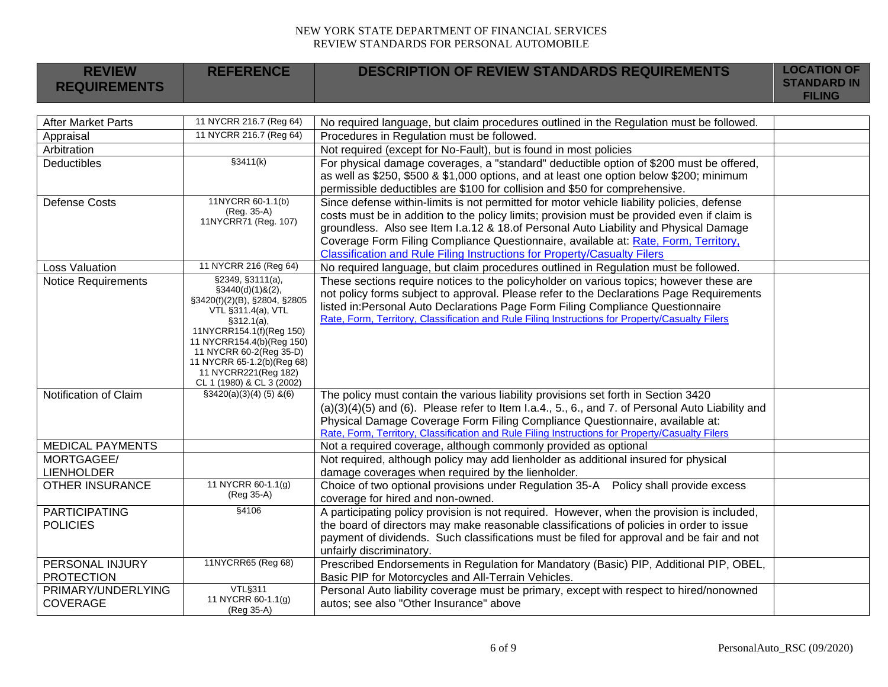| <b>REVIEW</b><br><b>REFERENCE</b><br><b>DESCRIPTION OF REVIEW STANDARDS REQUIREMENTS</b>                                                                                                                                                  | <b>LOCATION OF</b>                  |
|-------------------------------------------------------------------------------------------------------------------------------------------------------------------------------------------------------------------------------------------|-------------------------------------|
| <b>REQUIREMENTS</b>                                                                                                                                                                                                                       | <b>STANDARD IN</b><br><b>FILING</b> |
|                                                                                                                                                                                                                                           |                                     |
| 11 NYCRR 216.7 (Reg 64)<br><b>After Market Parts</b><br>No required language, but claim procedures outlined in the Regulation must be followed.                                                                                           |                                     |
| 11 NYCRR 216.7 (Reg 64)<br>Procedures in Regulation must be followed.<br>Appraisal                                                                                                                                                        |                                     |
| Arbitration<br>Not required (except for No-Fault), but is found in most policies                                                                                                                                                          |                                     |
| \$3411(k)<br>For physical damage coverages, a "standard" deductible option of \$200 must be offered,<br><b>Deductibles</b>                                                                                                                |                                     |
| as well as \$250, \$500 & \$1,000 options, and at least one option below \$200; minimum                                                                                                                                                   |                                     |
| permissible deductibles are \$100 for collision and \$50 for comprehensive.                                                                                                                                                               |                                     |
| 11NYCRR 60-1.1(b)<br>Since defense within-limits is not permitted for motor vehicle liability policies, defense<br><b>Defense Costs</b><br>(Reg. 35-A)                                                                                    |                                     |
| costs must be in addition to the policy limits; provision must be provided even if claim is<br>11NYCRR71 (Reg. 107)                                                                                                                       |                                     |
| groundless. Also see Item I.a.12 & 18.of Personal Auto Liability and Physical Damage                                                                                                                                                      |                                     |
| Coverage Form Filing Compliance Questionnaire, available at: Rate, Form, Territory,                                                                                                                                                       |                                     |
| Classification and Rule Filing Instructions for Property/Casualty Filers<br>11 NYCRR 216 (Reg 64)                                                                                                                                         |                                     |
| No required language, but claim procedures outlined in Regulation must be followed.<br><b>Loss Valuation</b><br>§2349, §3111(a),                                                                                                          |                                     |
| <b>Notice Requirements</b><br>These sections require notices to the policyholder on various topics; however these are<br>$\S3440(d)(1)8(2)$ ,<br>not policy forms subject to approval. Please refer to the Declarations Page Requirements |                                     |
| §3420(f)(2)(B), §2804, §2805<br>listed in: Personal Auto Declarations Page Form Filing Compliance Questionnaire                                                                                                                           |                                     |
| VTL §311.4(a), VTL<br>Rate, Form, Territory, Classification and Rule Filing Instructions for Property/Casualty Filers<br>\$312.1(a),                                                                                                      |                                     |
| 11NYCRR154.1(f)(Reg 150)                                                                                                                                                                                                                  |                                     |
| 11 NYCRR154.4(b)(Reg 150)                                                                                                                                                                                                                 |                                     |
| 11 NYCRR 60-2(Reg 35-D)                                                                                                                                                                                                                   |                                     |
| 11 NYCRR 65-1.2(b)(Reg 68)<br>11 NYCRR221(Reg 182)                                                                                                                                                                                        |                                     |
| CL 1 (1980) & CL 3 (2002)                                                                                                                                                                                                                 |                                     |
| Notification of Claim<br>$$3420(a)(3)(4)(5)$ & (6)<br>The policy must contain the various liability provisions set forth in Section 3420                                                                                                  |                                     |
| $(a)(3)(4)(5)$ and $(6)$ . Please refer to Item I.a.4., 5., 6., and 7. of Personal Auto Liability and                                                                                                                                     |                                     |
| Physical Damage Coverage Form Filing Compliance Questionnaire, available at:                                                                                                                                                              |                                     |
| Rate, Form, Territory, Classification and Rule Filing Instructions for Property/Casualty Filers                                                                                                                                           |                                     |
| <b>MEDICAL PAYMENTS</b><br>Not a required coverage, although commonly provided as optional                                                                                                                                                |                                     |
| MORTGAGEE/<br>Not required, although policy may add lienholder as additional insured for physical                                                                                                                                         |                                     |
| <b>LIENHOLDER</b><br>damage coverages when required by the lienholder.<br>11 NYCRR 60-1.1(g)<br><b>OTHER INSURANCE</b><br>Choice of two optional provisions under Regulation 35-A  Policy shall provide excess                            |                                     |
| (Reg 35-A)<br>coverage for hired and non-owned.                                                                                                                                                                                           |                                     |
| §4106<br><b>PARTICIPATING</b><br>A participating policy provision is not required. However, when the provision is included,                                                                                                               |                                     |
| the board of directors may make reasonable classifications of policies in order to issue<br><b>POLICIES</b>                                                                                                                               |                                     |
| payment of dividends. Such classifications must be filed for approval and be fair and not                                                                                                                                                 |                                     |
| unfairly discriminatory.                                                                                                                                                                                                                  |                                     |
| 11NYCRR65 (Reg 68)<br>Prescribed Endorsements in Regulation for Mandatory (Basic) PIP, Additional PIP, OBEL,<br>PERSONAL INJURY                                                                                                           |                                     |
| <b>PROTECTION</b><br>Basic PIP for Motorcycles and All-Terrain Vehicles.                                                                                                                                                                  |                                     |
| VTL§311<br>PRIMARY/UNDERLYING<br>Personal Auto liability coverage must be primary, except with respect to hired/nonowned                                                                                                                  |                                     |
| 11 NYCRR 60-1.1(g)<br><b>COVERAGE</b><br>autos; see also "Other Insurance" above<br>(Reg 35-A)                                                                                                                                            |                                     |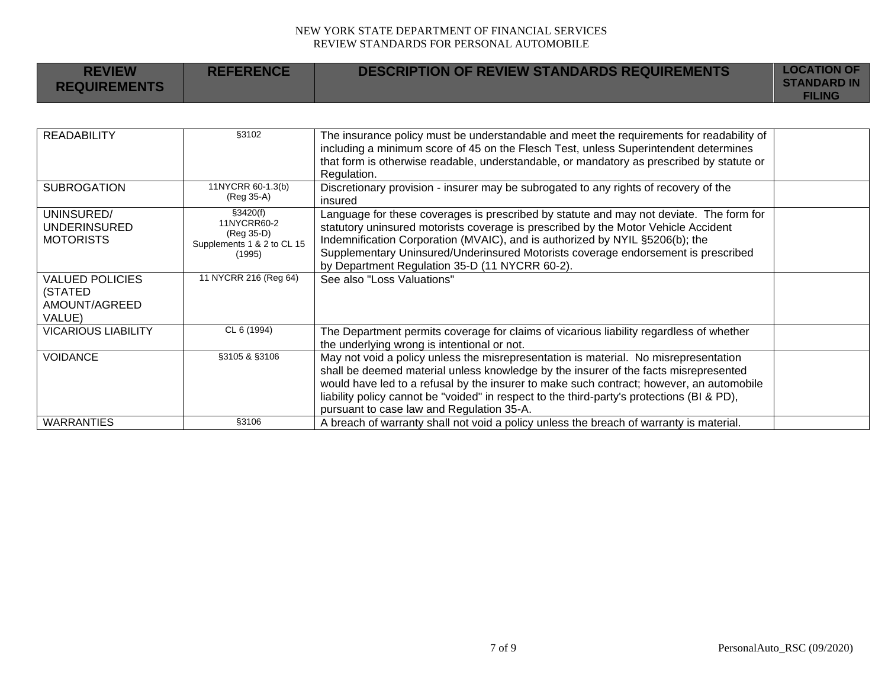| <b>REVIEW</b><br><b>REQUIREMENTS</b>                         | <b>REFERENCE</b>                                                              | <b>DESCRIPTION OF REVIEW STANDARDS REQUIREMENTS</b>                                                                                                                                                                                                                                                                                                                                                                 | <b>LOCATION OF</b><br><b>STANDARD IN</b><br><b>FILING</b> |
|--------------------------------------------------------------|-------------------------------------------------------------------------------|---------------------------------------------------------------------------------------------------------------------------------------------------------------------------------------------------------------------------------------------------------------------------------------------------------------------------------------------------------------------------------------------------------------------|-----------------------------------------------------------|
|                                                              |                                                                               |                                                                                                                                                                                                                                                                                                                                                                                                                     |                                                           |
| <b>READABILITY</b>                                           | §3102                                                                         | The insurance policy must be understandable and meet the requirements for readability of<br>including a minimum score of 45 on the Flesch Test, unless Superintendent determines<br>that form is otherwise readable, understandable, or mandatory as prescribed by statute or<br>Regulation.                                                                                                                        |                                                           |
| <b>SUBROGATION</b>                                           | 11NYCRR 60-1.3(b)<br>(Reg 35-A)                                               | Discretionary provision - insurer may be subrogated to any rights of recovery of the<br>insured                                                                                                                                                                                                                                                                                                                     |                                                           |
| UNINSURED/<br><b>UNDERINSURED</b><br><b>MOTORISTS</b>        | §3420(f)<br>11NYCRR60-2<br>(Reg 35-D)<br>Supplements 1 & 2 to CL 15<br>(1995) | Language for these coverages is prescribed by statute and may not deviate. The form for<br>statutory uninsured motorists coverage is prescribed by the Motor Vehicle Accident<br>Indemnification Corporation (MVAIC), and is authorized by NYIL §5206(b); the<br>Supplementary Uninsured/Underinsured Motorists coverage endorsement is prescribed<br>by Department Regulation 35-D (11 NYCRR 60-2).                |                                                           |
| <b>VALUED POLICIES</b><br>(STATED<br>AMOUNT/AGREED<br>VALUE) | 11 NYCRR 216 (Reg 64)                                                         | See also "Loss Valuations"                                                                                                                                                                                                                                                                                                                                                                                          |                                                           |
| <b>VICARIOUS LIABILITY</b>                                   | CL 6 (1994)                                                                   | The Department permits coverage for claims of vicarious liability regardless of whether<br>the underlying wrong is intentional or not.                                                                                                                                                                                                                                                                              |                                                           |
| <b>VOIDANCE</b>                                              | §3105 & §3106                                                                 | May not void a policy unless the misrepresentation is material. No misrepresentation<br>shall be deemed material unless knowledge by the insurer of the facts misrepresented<br>would have led to a refusal by the insurer to make such contract; however, an automobile<br>liability policy cannot be "voided" in respect to the third-party's protections (BI & PD),<br>pursuant to case law and Regulation 35-A. |                                                           |
| <b>WARRANTIES</b>                                            | §3106                                                                         | A breach of warranty shall not void a policy unless the breach of warranty is material.                                                                                                                                                                                                                                                                                                                             |                                                           |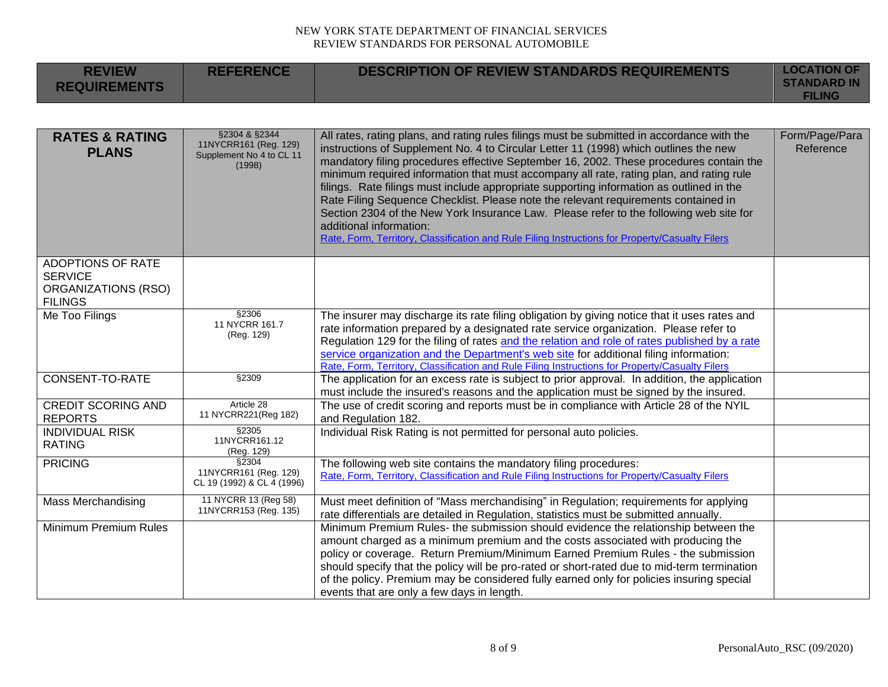| <b>REVIEW</b><br><b>REQUIREMENTS</b>                                                | <b>REFERENCE</b>                                                             | <b>DESCRIPTION OF REVIEW STANDARDS REQUIREMENTS</b>                                                                                                                                                                                                                                                                                                                                                                                                                                                                                                                                                                                                                                                                                                                               | <b>LOCATION OF</b><br><b>STANDARD IN</b><br><b>FILING</b> |
|-------------------------------------------------------------------------------------|------------------------------------------------------------------------------|-----------------------------------------------------------------------------------------------------------------------------------------------------------------------------------------------------------------------------------------------------------------------------------------------------------------------------------------------------------------------------------------------------------------------------------------------------------------------------------------------------------------------------------------------------------------------------------------------------------------------------------------------------------------------------------------------------------------------------------------------------------------------------------|-----------------------------------------------------------|
|                                                                                     |                                                                              |                                                                                                                                                                                                                                                                                                                                                                                                                                                                                                                                                                                                                                                                                                                                                                                   |                                                           |
| <b>RATES &amp; RATING</b><br><b>PLANS</b>                                           | §2304 & §2344<br>11NYCRR161 (Reg. 129)<br>Supplement No 4 to CL 11<br>(1998) | All rates, rating plans, and rating rules filings must be submitted in accordance with the<br>instructions of Supplement No. 4 to Circular Letter 11 (1998) which outlines the new<br>mandatory filing procedures effective September 16, 2002. These procedures contain the<br>minimum required information that must accompany all rate, rating plan, and rating rule<br>filings. Rate filings must include appropriate supporting information as outlined in the<br>Rate Filing Sequence Checklist. Please note the relevant requirements contained in<br>Section 2304 of the New York Insurance Law. Please refer to the following web site for<br>additional information:<br>Rate, Form, Territory, Classification and Rule Filing Instructions for Property/Casualty Filers | Form/Page/Para<br>Reference                               |
| <b>ADOPTIONS OF RATE</b><br><b>SERVICE</b><br>ORGANIZATIONS (RSO)<br><b>FILINGS</b> |                                                                              |                                                                                                                                                                                                                                                                                                                                                                                                                                                                                                                                                                                                                                                                                                                                                                                   |                                                           |
| Me Too Filings                                                                      | §2306<br>11 NYCRR 161.7<br>(Reg. 129)                                        | The insurer may discharge its rate filing obligation by giving notice that it uses rates and<br>rate information prepared by a designated rate service organization. Please refer to<br>Regulation 129 for the filing of rates and the relation and role of rates published by a rate<br>service organization and the Department's web site for additional filing information:<br>Rate, Form, Territory, Classification and Rule Filing Instructions for Property/Casualty Filers                                                                                                                                                                                                                                                                                                 |                                                           |
| CONSENT-TO-RATE                                                                     | §2309                                                                        | The application for an excess rate is subject to prior approval. In addition, the application<br>must include the insured's reasons and the application must be signed by the insured.                                                                                                                                                                                                                                                                                                                                                                                                                                                                                                                                                                                            |                                                           |
| <b>CREDIT SCORING AND</b><br><b>REPORTS</b>                                         | Article 28<br>11 NYCRR221(Reg 182)                                           | The use of credit scoring and reports must be in compliance with Article 28 of the NYIL<br>and Regulation 182.                                                                                                                                                                                                                                                                                                                                                                                                                                                                                                                                                                                                                                                                    |                                                           |
| <b>INDIVIDUAL RISK</b><br><b>RATING</b>                                             | §2305<br>11NYCRR161.12<br>(Reg. 129)                                         | Individual Risk Rating is not permitted for personal auto policies.                                                                                                                                                                                                                                                                                                                                                                                                                                                                                                                                                                                                                                                                                                               |                                                           |
| <b>PRICING</b>                                                                      | \$2304<br>11NYCRR161 (Reg. 129)<br>CL 19 (1992) & CL 4 (1996)                | The following web site contains the mandatory filing procedures:<br>Rate, Form, Territory, Classification and Rule Filing Instructions for Property/Casualty Filers                                                                                                                                                                                                                                                                                                                                                                                                                                                                                                                                                                                                               |                                                           |
| <b>Mass Merchandising</b>                                                           | 11 NYCRR 13 (Reg 58)<br>11NYCRR153 (Reg. 135)                                | Must meet definition of "Mass merchandising" in Regulation; requirements for applying<br>rate differentials are detailed in Regulation, statistics must be submitted annually.                                                                                                                                                                                                                                                                                                                                                                                                                                                                                                                                                                                                    |                                                           |
| <b>Minimum Premium Rules</b>                                                        |                                                                              | Minimum Premium Rules- the submission should evidence the relationship between the<br>amount charged as a minimum premium and the costs associated with producing the<br>policy or coverage. Return Premium/Minimum Earned Premium Rules - the submission<br>should specify that the policy will be pro-rated or short-rated due to mid-term termination<br>of the policy. Premium may be considered fully earned only for policies insuring special<br>events that are only a few days in length.                                                                                                                                                                                                                                                                                |                                                           |